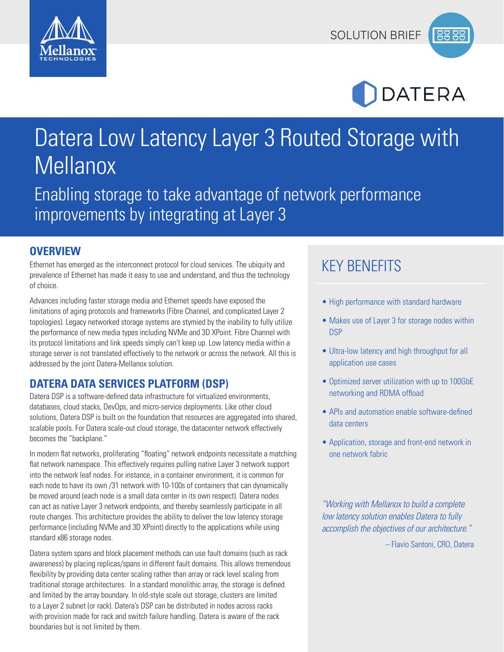





# Datera Low Latency Layer 3 Routed Storage with Mellanox

Enabling storage to take advantage of network performance improvements by integrating at Layer 3

#### **OVERVIEW**

Ethernet has emerged as the interconnect protocol for cloud services. The ubiquity and prevalence of Ethernet has made it easy to use and understand, and thus the technology of choice.

Advances including faster storage media and Ethernet speeds have exposed the limitations of aging protocols and frameworks (Fibre Channel, and complicated Layer 2 topologies). Legacy networked storage systems are stymied by the inability to fully utilize the performance of new media types including NVMe and 3D XPoint. Fibre Channel with its protocol limitations and link speeds simply can't keep up. Low latency media within a storage server is not translated effectively to the network or across the network. All this is addressed by the joint Datera-Mellanox solution.

#### **DATERA DATA SERVICES PLATFORM (DSP)**

Datera DSP is a software-defined data infrastructure for virtualized environments, databases, cloud stacks, DevOps, and micro-service deployments. Like other cloud solutions, Datera DSP is built on the foundation that resources are aggregated into shared, scalable pools. For Datera scale-out cloud storage, the datacenter network effectively becomes the "backplane."

In modern flat networks, proliferating "floating" network endpoints necessitate a matching flat network namespace. This effectively requires pulling native Layer 3 network support into the network leaf nodes. For instance, in a container environment, it is common for each node to have its own /31 network with 10-100s of containers that can dynamically be moved around (each node is a small data center in its own respect). Datera nodes can act as native Layer 3 network endpoints, and thereby seamlessly participate in all route changes. This architecture provides the ability to deliver the low latency storage performance (including NVMe and 3D XPoint) directly to the applications while using standard x86 storage nodes.

Datera system spans and block placement methods can use fault domains (such as rack awareness) by placing replicas/spans in different fault domains. This allows tremendous flexibility by providing data center scaling rather than array or rack level scaling from traditional storage architectures. In a standard monolithic array, the storage is defined and limited by the array boundary. In old-style scale out storage, clusters are limited to a Layer 2 subnet (or rack). Datera's DSP can be distributed in nodes across racks with provision made for rack and switch failure handling. Datera is aware of the rack boundaries but is not limited by them.

## KEY BENEFITS

- High performance with standard hardware
- Makes use of Layer 3 for storage nodes within **DSP**
- Ultra-low latency and high throughput for all application use cases
- Optimized server utilization with up to 100GbE networking and RDMA offload
- APIs and automation enable software-defined data centers
- Application, storage and front-end network in one network fabric

*"Working with Mellanox to build a complete low latency solution enables Datera to fully accomplish the objectives of our architecture."* 

– Flavio Santoni, CRO, Datera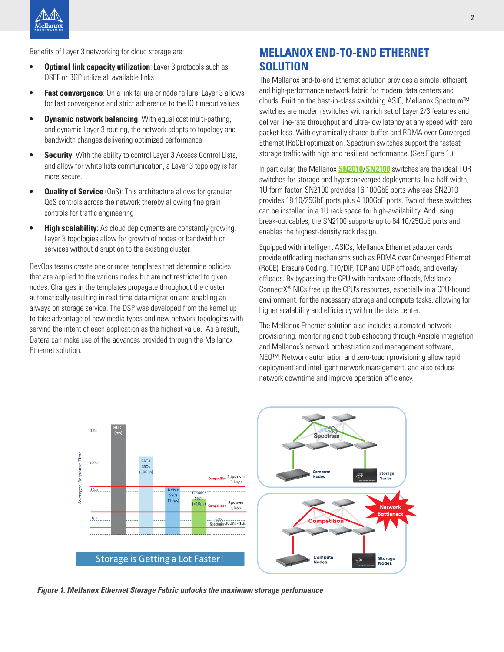Benefits of Layer 3 networking for cloud storage are:

- **• Optimal link capacity utilization**: Layer 3 protocols such as OSPF or BGP utilize all available links
- **• Fast convergence**: On a link failure or node failure, Layer 3 allows for fast convergence and strict adherence to the IO timeout values
- **• Dynamic network balancing**: With equal cost multi-pathing, and dynamic Layer 3 routing, the network adapts to topology and bandwidth changes delivering optimized performance
- **• Security**: With the ability to control Layer 3 Access Control Lists, and allow for white lists communication, a Layer 3 topology is far more secure.
- **Quality of Service** (QoS): This architecture allows for granular QoS controls across the network thereby allowing fine grain controls for traffic engineering
- **• High scalability**: As cloud deployments are constantly growing, Layer 3 topologies allow for growth of nodes or bandwidth or services without disruption to the existing cluster.

DevOps teams create one or more templates that determine policies that are applied to the various nodes but are not restricted to given nodes. Changes in the templates propagate throughout the cluster automatically resulting in real time data migration and enabling an always on storage service. The DSP was developed from the kernel up to take advantage of new media types and new network topologies with serving the intent of each application as the highest value. As a result, Datera can make use of the advances provided through the Mellanox Ethernet solution.

## **MELLANOX END-TO-END ETHERNET SOLUTION**

The Mellanox end-to-end Ethernet solution provides a simple, efficient and high-performance network fabric for modern data centers and clouds. Built on the best-in-class switching ASIC, Mellanox Spectrum™ switches are modern switches with a rich set of Layer 2/3 features and deliver line-rate throughput and ultra-low latency at any speed with zero packet loss. With dynamically shared buffer and RDMA over Converged Ethernet (RoCE) optimization, Spectrum switches support the fastest storage traffic with high and resilient performance. (See Figure 1.)

In particular, the Mellanox **[SN2010](http://www.mellanox.com/related-docs/prod_eth_switches/PB_SN2010.pdf)**/**[SN2100](http://www.mellanox.com/related-docs/prod_eth_switches/PB_SN2100.pdf)** switches are the ideal TOR switches for storage and hyperconverged deployments. In a half-width, 1U form factor, SN2100 provides 16 100GbE ports whereas SN2010 provides 18 10/25GbE ports plus 4 100GbE ports. Two of these switches can be installed in a 1U rack space for high-availability. And using break-out cables, the SN2100 supports up to 64 10/25GbE ports and enables the highest-density rack design.

Equipped with intelligent ASICs, Mellanox Ethernet adapter cards provide offloading mechanisms such as RDMA over Converged Ethernet (RoCE), Erasure Coding, T10/DIF, TCP and UDP offloads, and overlay offloads. By bypassing the CPU with hardware offloads, Mellanox ConnectX® NICs free up the CPU's resources, especially in a CPU-bound environment, for the necessary storage and compute tasks, allowing for higher scalability and efficiency within the data center.

The Mellanox Ethernet solution also includes automated network provisioning, monitoring and troubleshooting through Ansible integration and Mellanox's network orchestration and management software, NEO™. Network automation and zero-touch provisioning allow rapid deployment and intelligent network management, and also reduce network downtime and improve operation efficiency.



*Figure 1. Mellanox Ethernet Storage Fabric unlocks the maximum storage performance*